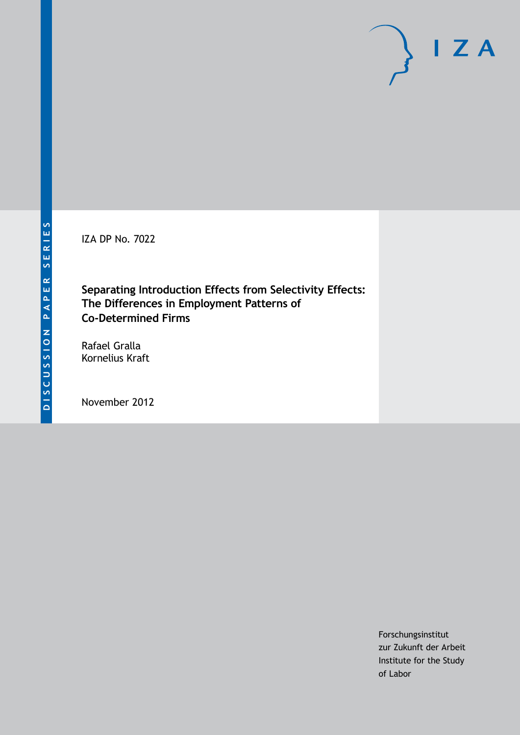IZA DP No. 7022

**Separating Introduction Effects from Selectivity Effects: The Differences in Employment Patterns of Co-Determined Firms**

Rafael Gralla Kornelius Kraft

November 2012

Forschungsinstitut zur Zukunft der Arbeit Institute for the Study of Labor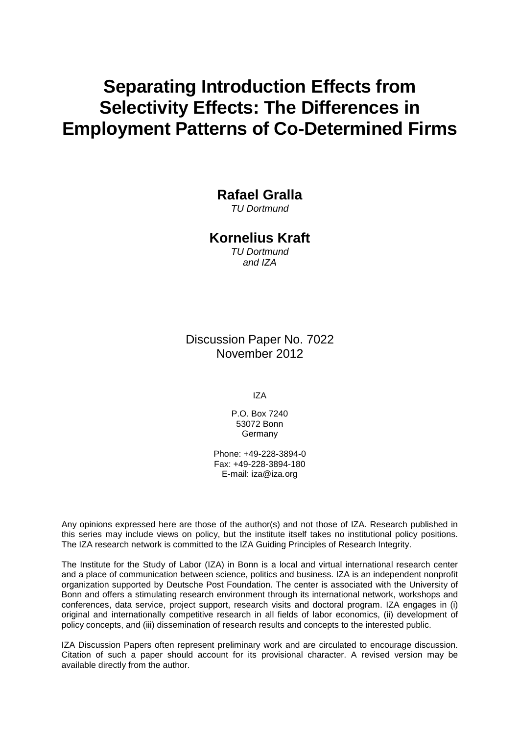# **Separating Introduction Effects from Selectivity Effects: The Differences in Employment Patterns of Co-Determined Firms**

**Rafael Gralla**

*TU Dortmund*

### **Kornelius Kraft**

*TU Dortmund and IZA*

Discussion Paper No. 7022 November 2012

IZA

P.O. Box 7240 53072 Bonn **Germany** 

Phone: +49-228-3894-0 Fax: +49-228-3894-180 E-mail: [iza@iza.org](mailto:iza@iza.org)

Any opinions expressed here are those of the author(s) and not those of IZA. Research published in this series may include views on policy, but the institute itself takes no institutional policy positions. The IZA research network is committed to the IZA Guiding Principles of Research Integrity.

The Institute for the Study of Labor (IZA) in Bonn is a local and virtual international research center and a place of communication between science, politics and business. IZA is an independent nonprofit organization supported by Deutsche Post Foundation. The center is associated with the University of Bonn and offers a stimulating research environment through its international network, workshops and conferences, data service, project support, research visits and doctoral program. IZA engages in (i) original and internationally competitive research in all fields of labor economics, (ii) development of policy concepts, and (iii) dissemination of research results and concepts to the interested public.

<span id="page-1-0"></span>IZA Discussion Papers often represent preliminary work and are circulated to encourage discussion. Citation of such a paper should account for its provisional character. A revised version may be available directly from the author.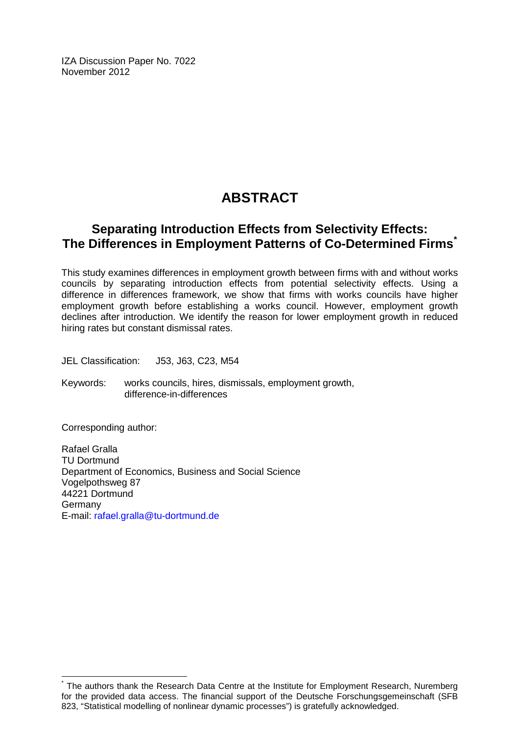IZA Discussion Paper No. 7022 November 2012

## **ABSTRACT**

## **Separating Introduction Effects from Selectivity Effects: The Differences in Employment Patterns of Co-Determined Firms[\\*](#page-1-0)**

This study examines differences in employment growth between firms with and without works councils by separating introduction effects from potential selectivity effects. Using a difference in differences framework, we show that firms with works councils have higher employment growth before establishing a works council. However, employment growth declines after introduction. We identify the reason for lower employment growth in reduced hiring rates but constant dismissal rates.

JEL Classification: J53, J63, C23, M54

Keywords: works councils, hires, dismissals, employment growth, difference-in-differences

Corresponding author:

Rafael Gralla TU Dortmund Department of Economics, Business and Social Science Vogelpothsweg 87 44221 Dortmund Germany E-mail: [rafael.gralla@tu-dortmund.de](mailto:rafael.gralla@tu-dortmund.de)

The authors thank the Research Data Centre at the Institute for Employment Research, Nuremberg for the provided data access. The financial support of the Deutsche Forschungsgemeinschaft (SFB 823, "Statistical modelling of nonlinear dynamic processes") is gratefully acknowledged.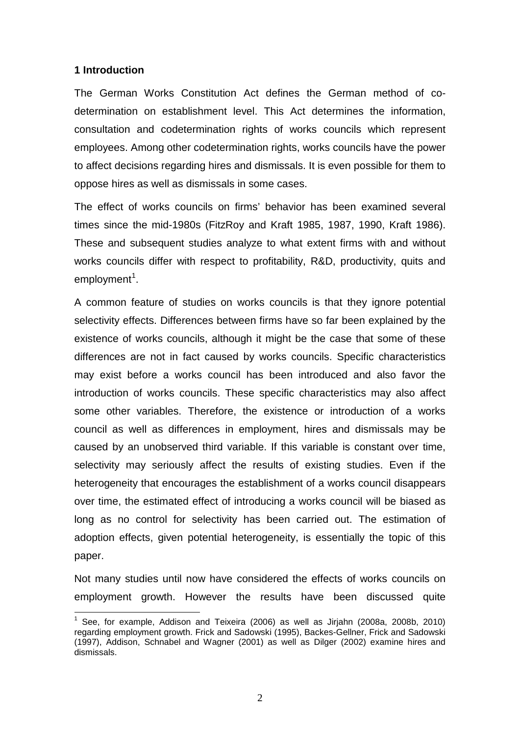#### **1 Introduction**

The German Works Constitution Act defines the German method of codetermination on establishment level. This Act determines the information, consultation and codetermination rights of works councils which represent employees. Among other codetermination rights, works councils have the power to affect decisions regarding hires and dismissals. It is even possible for them to oppose hires as well as dismissals in some cases.

The effect of works councils on firms' behavior has been examined several times since the mid-1980s (FitzRoy and Kraft 1985, 1987, 1990, Kraft 1986). These and subsequent studies analyze to what extent firms with and without works councils differ with respect to profitability, R&D, productivity, quits and employment<sup>1</sup>.

A common feature of studies on works councils is that they ignore potential selectivity effects. Differences between firms have so far been explained by the existence of works councils, although it might be the case that some of these differences are not in fact caused by works councils. Specific characteristics may exist before a works council has been introduced and also favor the introduction of works councils. These specific characteristics may also affect some other variables. Therefore, the existence or introduction of a works council as well as differences in employment, hires and dismissals may be caused by an unobserved third variable. If this variable is constant over time, selectivity may seriously affect the results of existing studies. Even if the heterogeneity that encourages the establishment of a works council disappears over time, the estimated effect of introducing a works council will be biased as long as no control for selectivity has been carried out. The estimation of adoption effects, given potential heterogeneity, is essentially the topic of this paper.

Not many studies until now have considered the effects of works councils on employment growth. However the results have been discussed quite

<span id="page-3-0"></span> $^1$  See, for example, Addison and Teixeira (2006) as well as Jirjahn (2008a, 2008b, 2010) regarding employment growth. Frick and Sadowski (1995), Backes-Gellner, Frick and Sadowski (1997), Addison, Schnabel and Wagner (2001) as well as Dilger (2002) examine hires and dismissals.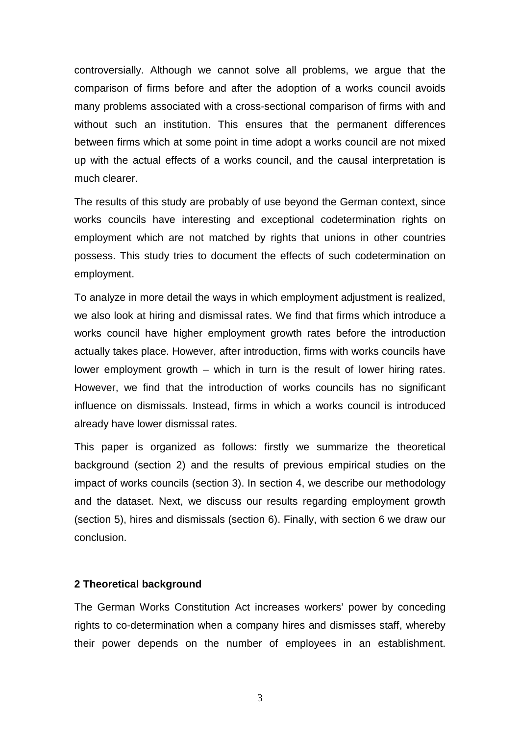controversially. Although we cannot solve all problems, we argue that the comparison of firms before and after the adoption of a works council avoids many problems associated with a cross-sectional comparison of firms with and without such an institution. This ensures that the permanent differences between firms which at some point in time adopt a works council are not mixed up with the actual effects of a works council, and the causal interpretation is much clearer.

The results of this study are probably of use beyond the German context, since works councils have interesting and exceptional codetermination rights on employment which are not matched by rights that unions in other countries possess. This study tries to document the effects of such codetermination on employment.

To analyze in more detail the ways in which employment adjustment is realized, we also look at hiring and dismissal rates. We find that firms which introduce a works council have higher employment growth rates before the introduction actually takes place. However, after introduction, firms with works councils have lower employment growth – which in turn is the result of lower hiring rates. However, we find that the introduction of works councils has no significant influence on dismissals. Instead, firms in which a works council is introduced already have lower dismissal rates.

This paper is organized as follows: firstly we summarize the theoretical background (section 2) and the results of previous empirical studies on the impact of works councils (section 3). In section 4, we describe our methodology and the dataset. Next, we discuss our results regarding employment growth (section 5), hires and dismissals (section 6). Finally, with section 6 we draw our conclusion.

#### **2 Theoretical background**

The German Works Constitution Act increases workers' power by conceding rights to co-determination when a company hires and dismisses staff, whereby their power depends on the number of employees in an establishment.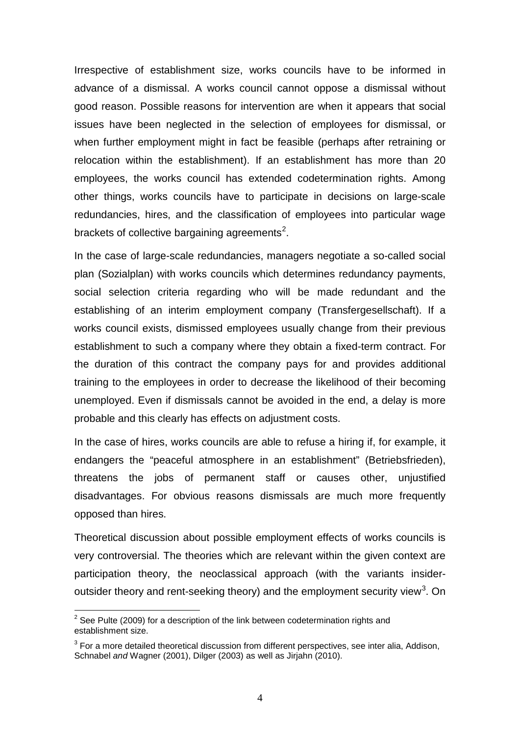Irrespective of establishment size, works councils have to be informed in advance of a dismissal. A works council cannot oppose a dismissal without good reason. Possible reasons for intervention are when it appears that social issues have been neglected in the selection of employees for dismissal, or when further employment might in fact be feasible (perhaps after retraining or relocation within the establishment). If an establishment has more than 20 employees, the works council has extended codetermination rights. Among other things, works councils have to participate in decisions on large-scale redundancies, hires, and the classification of employees into particular wage brackets of collective bargaining agreements<sup>[2](#page-3-0)</sup>.

In the case of large-scale redundancies, managers negotiate a so-called social plan (Sozialplan) with works councils which determines redundancy payments, social selection criteria regarding who will be made redundant and the establishing of an interim employment company (Transfergesellschaft). If a works council exists, dismissed employees usually change from their previous establishment to such a company where they obtain a fixed-term contract. For the duration of this contract the company pays for and provides additional training to the employees in order to decrease the likelihood of their becoming unemployed. Even if dismissals cannot be avoided in the end, a delay is more probable and this clearly has effects on adjustment costs.

In the case of hires, works councils are able to refuse a hiring if, for example, it endangers the "peaceful atmosphere in an establishment" (Betriebsfrieden), threatens the jobs of permanent staff or causes other, unjustified disadvantages. For obvious reasons dismissals are much more frequently opposed than hires.

Theoretical discussion about possible employment effects of works councils is very controversial. The theories which are relevant within the given context are participation theory, the neoclassical approach (with the variants insider-outsider theory and rent-seeking theory) and the employment security view<sup>[3](#page-5-0)</sup>. On

<span id="page-5-1"></span> $2^2$  See Pulte (2009) for a description of the link between codetermination rights and establishment size.

<span id="page-5-0"></span> $3$  For a more detailed theoretical discussion from different perspectives, see inter alia, Addison, Schnabel *and* Wagner (2001), Dilger (2003) as well as Jirjahn (2010).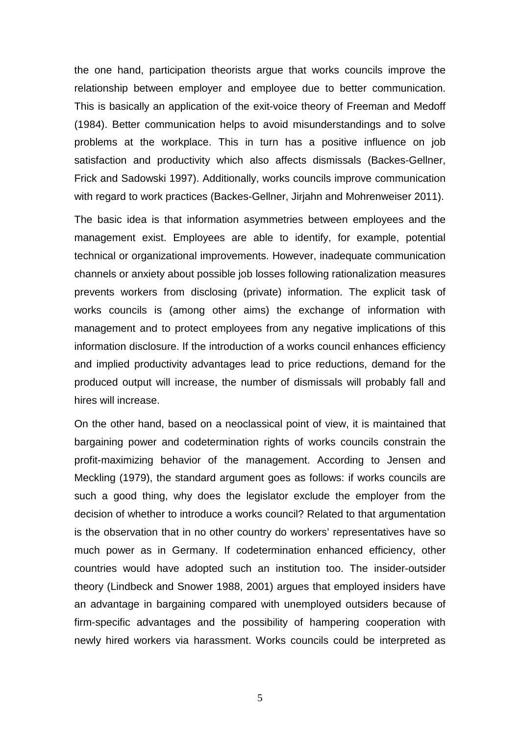the one hand, participation theorists argue that works councils improve the relationship between employer and employee due to better communication. This is basically an application of the exit-voice theory of Freeman and Medoff (1984). Better communication helps to avoid misunderstandings and to solve problems at the workplace. This in turn has a positive influence on job satisfaction and productivity which also affects dismissals (Backes-Gellner, Frick and Sadowski 1997). Additionally, works councils improve communication with regard to work practices (Backes-Gellner, Jirjahn and Mohrenweiser 2011).

The basic idea is that information asymmetries between employees and the management exist. Employees are able to identify, for example, potential technical or organizational improvements. However, inadequate communication channels or anxiety about possible job losses following rationalization measures prevents workers from disclosing (private) information. The explicit task of works councils is (among other aims) the exchange of information with management and to protect employees from any negative implications of this information disclosure. If the introduction of a works council enhances efficiency and implied productivity advantages lead to price reductions, demand for the produced output will increase, the number of dismissals will probably fall and hires will increase.

On the other hand, based on a neoclassical point of view, it is maintained that bargaining power and codetermination rights of works councils constrain the profit-maximizing behavior of the management. According to Jensen and Meckling (1979), the standard argument goes as follows: if works councils are such a good thing, why does the legislator exclude the employer from the decision of whether to introduce a works council? Related to that argumentation is the observation that in no other country do workers' representatives have so much power as in Germany. If codetermination enhanced efficiency, other countries would have adopted such an institution too. The insider-outsider theory (Lindbeck and Snower 1988, 2001) argues that employed insiders have an advantage in bargaining compared with unemployed outsiders because of firm-specific advantages and the possibility of hampering cooperation with newly hired workers via harassment. Works councils could be interpreted as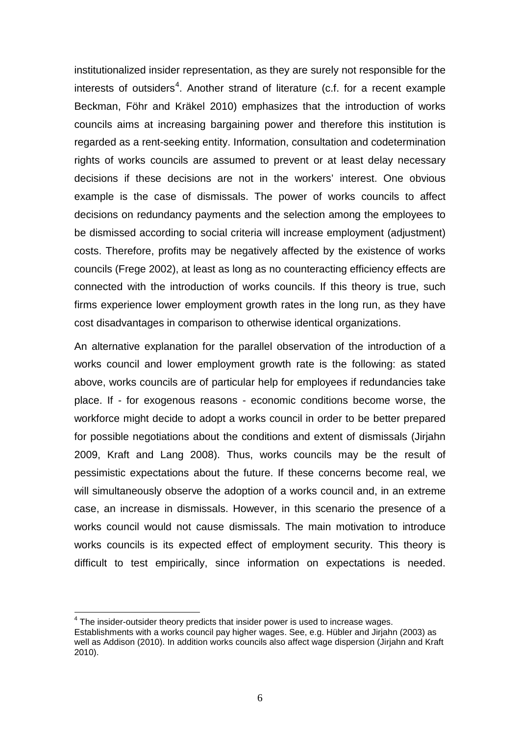institutionalized insider representation, as they are surely not responsible for the interests of outsiders<sup>[4](#page-5-1)</sup>. Another strand of literature (c.f. for a recent example Beckman, Föhr and Kräkel 2010) emphasizes that the introduction of works councils aims at increasing bargaining power and therefore this institution is regarded as a rent-seeking entity. Information, consultation and codetermination rights of works councils are assumed to prevent or at least delay necessary decisions if these decisions are not in the workers' interest. One obvious example is the case of dismissals. The power of works councils to affect decisions on redundancy payments and the selection among the employees to be dismissed according to social criteria will increase employment (adjustment) costs. Therefore, profits may be negatively affected by the existence of works councils (Frege 2002), at least as long as no counteracting efficiency effects are connected with the introduction of works councils. If this theory is true, such firms experience lower employment growth rates in the long run, as they have cost disadvantages in comparison to otherwise identical organizations.

An alternative explanation for the parallel observation of the introduction of a works council and lower employment growth rate is the following: as stated above, works councils are of particular help for employees if redundancies take place. If - for exogenous reasons - economic conditions become worse, the workforce might decide to adopt a works council in order to be better prepared for possible negotiations about the conditions and extent of dismissals (Jirjahn 2009, Kraft and Lang 2008). Thus, works councils may be the result of pessimistic expectations about the future. If these concerns become real, we will simultaneously observe the adoption of a works council and, in an extreme case, an increase in dismissals. However, in this scenario the presence of a works council would not cause dismissals. The main motivation to introduce works councils is its expected effect of employment security. This theory is difficult to test empirically, since information on expectations is needed.

<span id="page-7-0"></span> $4$  The insider-outsider theory predicts that insider power is used to increase wages. Establishments with a works council pay higher wages. See, e.g. Hübler and Jirjahn (2003) as well as Addison (2010). In addition works councils also affect wage dispersion (Jirjahn and Kraft 2010).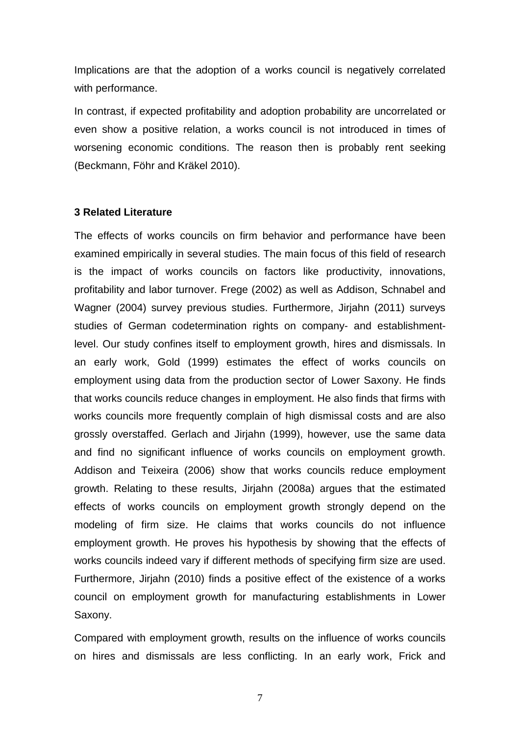Implications are that the adoption of a works council is negatively correlated with performance.

In contrast, if expected profitability and adoption probability are uncorrelated or even show a positive relation, a works council is not introduced in times of worsening economic conditions. The reason then is probably rent seeking (Beckmann, Föhr and Kräkel 2010).

#### **3 Related Literature**

The effects of works councils on firm behavior and performance have been examined empirically in several studies. The main focus of this field of research is the impact of works councils on factors like productivity, innovations, profitability and labor turnover. Frege (2002) as well as Addison, Schnabel and Wagner (2004) survey previous studies. Furthermore, Jirjahn (2011) surveys studies of German codetermination rights on company- and establishmentlevel. Our study confines itself to employment growth, hires and dismissals. In an early work, Gold (1999) estimates the effect of works councils on employment using data from the production sector of Lower Saxony. He finds that works councils reduce changes in employment. He also finds that firms with works councils more frequently complain of high dismissal costs and are also grossly overstaffed. Gerlach and Jirjahn (1999), however, use the same data and find no significant influence of works councils on employment growth. Addison and Teixeira (2006) show that works councils reduce employment growth. Relating to these results, Jirjahn (2008a) argues that the estimated effects of works councils on employment growth strongly depend on the modeling of firm size. He claims that works councils do not influence employment growth. He proves his hypothesis by showing that the effects of works councils indeed vary if different methods of specifying firm size are used. Furthermore, Jirjahn (2010) finds a positive effect of the existence of a works council on employment growth for manufacturing establishments in Lower Saxony.

Compared with employment growth, results on the influence of works councils on hires and dismissals are less conflicting. In an early work, Frick and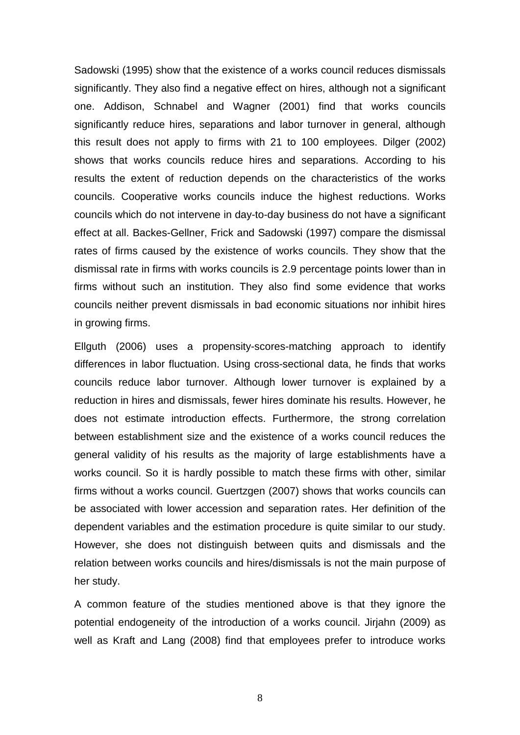Sadowski (1995) show that the existence of a works council reduces dismissals significantly. They also find a negative effect on hires, although not a significant one. Addison, Schnabel and Wagner (2001) find that works councils significantly reduce hires, separations and labor turnover in general, although this result does not apply to firms with 21 to 100 employees. Dilger (2002) shows that works councils reduce hires and separations. According to his results the extent of reduction depends on the characteristics of the works councils. Cooperative works councils induce the highest reductions. Works councils which do not intervene in day-to-day business do not have a significant effect at all. Backes-Gellner, Frick and Sadowski (1997) compare the dismissal rates of firms caused by the existence of works councils. They show that the dismissal rate in firms with works councils is 2.9 percentage points lower than in firms without such an institution. They also find some evidence that works councils neither prevent dismissals in bad economic situations nor inhibit hires in growing firms.

Ellguth (2006) uses a propensity-scores-matching approach to identify differences in labor fluctuation. Using cross-sectional data, he finds that works councils reduce labor turnover. Although lower turnover is explained by a reduction in hires and dismissals, fewer hires dominate his results. However, he does not estimate introduction effects. Furthermore, the strong correlation between establishment size and the existence of a works council reduces the general validity of his results as the majority of large establishments have a works council. So it is hardly possible to match these firms with other, similar firms without a works council. Guertzgen (2007) shows that works councils can be associated with lower accession and separation rates. Her definition of the dependent variables and the estimation procedure is quite similar to our study. However, she does not distinguish between quits and dismissals and the relation between works councils and hires/dismissals is not the main purpose of her study.

A common feature of the studies mentioned above is that they ignore the potential endogeneity of the introduction of a works council. Jirjahn (2009) as well as Kraft and Lang (2008) find that employees prefer to introduce works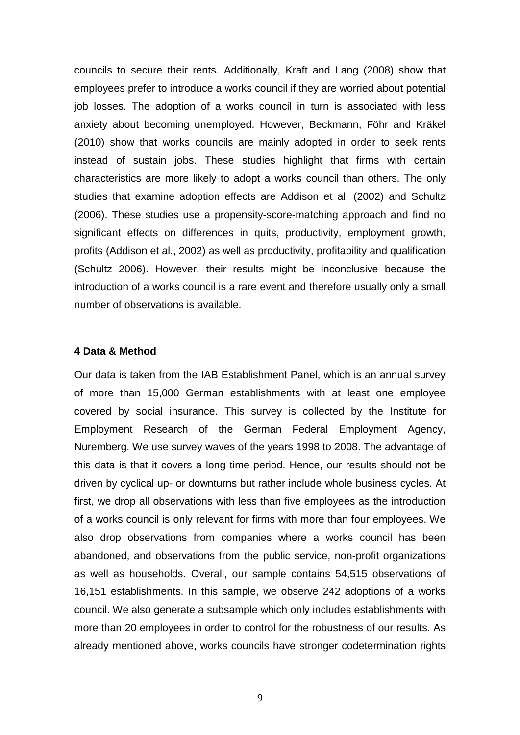councils to secure their rents. Additionally, Kraft and Lang (2008) show that employees prefer to introduce a works council if they are worried about potential job losses. The adoption of a works council in turn is associated with less anxiety about becoming unemployed. However, Beckmann, Föhr and Kräkel (2010) show that works councils are mainly adopted in order to seek rents instead of sustain jobs. These studies highlight that firms with certain characteristics are more likely to adopt a works council than others. The only studies that examine adoption effects are Addison et al. (2002) and Schultz (2006). These studies use a propensity-score-matching approach and find no significant effects on differences in quits, productivity, employment growth, profits (Addison et al., 2002) as well as productivity, profitability and qualification (Schultz 2006). However, their results might be inconclusive because the introduction of a works council is a rare event and therefore usually only a small number of observations is available.

#### **4 Data & Method**

Our data is taken from the IAB Establishment Panel, which is an annual survey of more than 15,000 German establishments with at least one employee covered by social insurance. This survey is collected by the Institute for Employment Research of the German Federal Employment Agency, Nuremberg. We use survey waves of the years 1998 to 2008. The advantage of this data is that it covers a long time period. Hence, our results should not be driven by cyclical up- or downturns but rather include whole business cycles. At first, we drop all observations with less than five employees as the introduction of a works council is only relevant for firms with more than four employees. We also drop observations from companies where a works council has been abandoned, and observations from the public service, non-profit organizations as well as households. Overall, our sample contains 54,515 observations of 16,151 establishments. In this sample, we observe 242 adoptions of a works council. We also generate a subsample which only includes establishments with more than 20 employees in order to control for the robustness of our results. As already mentioned above, works councils have stronger codetermination rights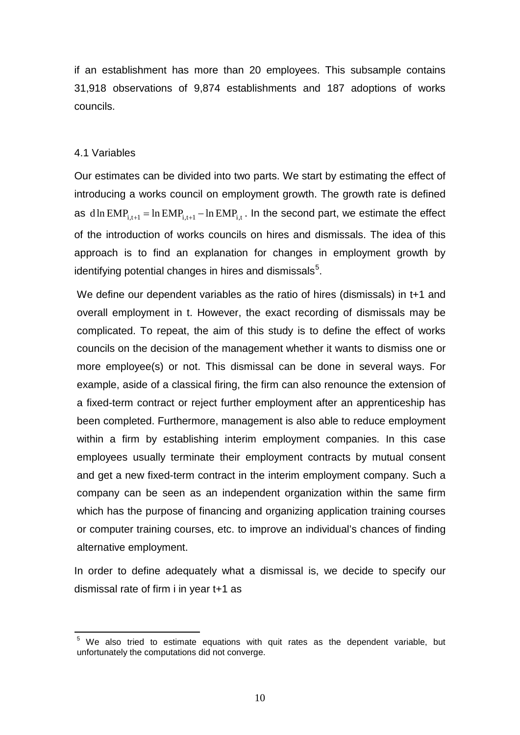if an establishment has more than 20 employees. This subsample contains 31,918 observations of 9,874 establishments and 187 adoptions of works councils.

#### 4.1 Variables

Our estimates can be divided into two parts. We start by estimating the effect of introducing a works council on employment growth. The growth rate is defined as dln EMP<sub>i,t+1</sub> = ln EMP<sub>i,t+1</sub> - ln EMP<sub>i,t</sub>. In the second part, we estimate the effect of the introduction of works councils on hires and dismissals. The idea of this approach is to find an explanation for changes in employment growth by identifying potential changes in hires and dismissals<sup>[5](#page-7-0)</sup>.

We define our dependent variables as the ratio of hires (dismissals) in t+1 and overall employment in t. However, the exact recording of dismissals may be complicated. To repeat, the aim of this study is to define the effect of works councils on the decision of the management whether it wants to dismiss one or more employee(s) or not. This dismissal can be done in several ways. For example, aside of a classical firing, the firm can also renounce the extension of a fixed-term contract or reject further employment after an apprenticeship has been completed. Furthermore, management is also able to reduce employment within a firm by establishing interim employment companies. In this case employees usually terminate their employment contracts by mutual consent and get a new fixed-term contract in the interim employment company. Such a company can be seen as an independent organization within the same firm which has the purpose of financing and organizing application training courses or computer training courses, etc. to improve an individual's chances of finding alternative employment.

<span id="page-11-0"></span>In order to define adequately what a dismissal is, we decide to specify our dismissal rate of firm i in year t+1 as

<sup>&</sup>lt;sup>5</sup> We also tried to estimate equations with quit rates as the dependent variable, but unfortunately the computations did not converge.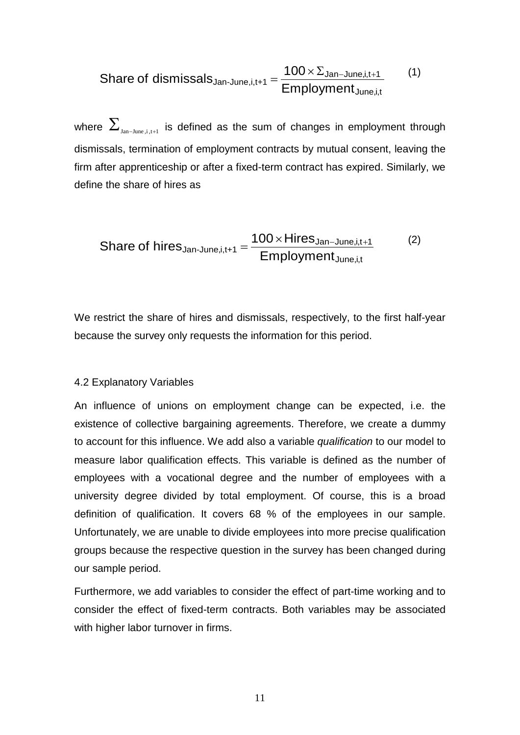\n
$$
\text{Share of dismisseds}_{\text{Jan-June},i,t+1} = \frac{100 \times \Sigma_{\text{Jan-June},i,t+1}}{\text{Emplogment}_{\text{June},i,t}} \tag{1}
$$
\n

where  $\sum_{\text{Jan-June.i.t-1}}$  is defined as the sum of changes in employment through dismissals, termination of employment contracts by mutual consent, leaving the firm after apprenticeship or after a fixed-term contract has expired. Similarly, we define the share of hires as

Share of hires<sub>Jan-June,i,t+1</sub> = 
$$
\frac{100 \times Hires_{Jan-June,i,t+1}}{Employment_{June,i,t}}
$$
 (2)

We restrict the share of hires and dismissals, respectively, to the first half-year because the survey only requests the information for this period.

#### 4.2 Explanatory Variables

An influence of unions on employment change can be expected, i.e. the existence of collective bargaining agreements. Therefore, we create a dummy to account for this influence. We add also a variable *qualification* to our model to measure labor qualification effects. This variable is defined as the number of employees with a vocational degree and the number of employees with a university degree divided by total employment. Of course, this is a broad definition of qualification. It covers 68 % of the employees in our sample. Unfortunately, we are unable to divide employees into more precise qualification groups because the respective question in the survey has been changed during our sample period.

Furthermore, we add variables to consider the effect of part-time working and to consider the effect of fixed-term contracts. Both variables may be associated with higher labor turnover in firms.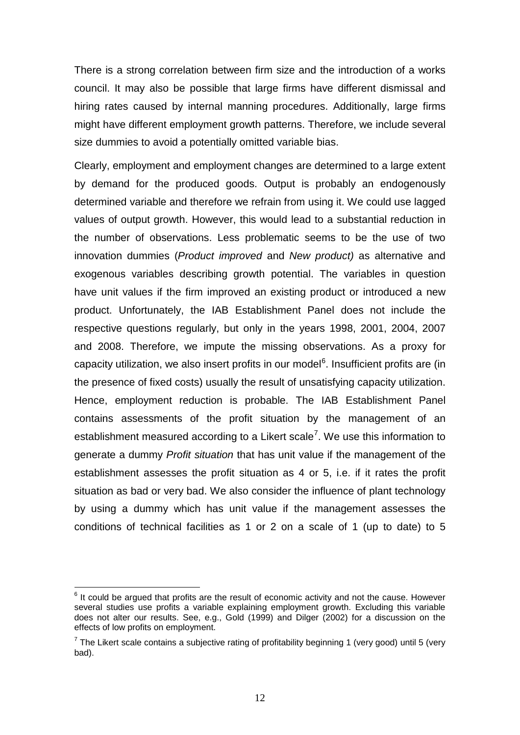There is a strong correlation between firm size and the introduction of a works council. It may also be possible that large firms have different dismissal and hiring rates caused by internal manning procedures. Additionally, large firms might have different employment growth patterns. Therefore, we include several size dummies to avoid a potentially omitted variable bias.

Clearly, employment and employment changes are determined to a large extent by demand for the produced goods. Output is probably an endogenously determined variable and therefore we refrain from using it. We could use lagged values of output growth. However, this would lead to a substantial reduction in the number of observations. Less problematic seems to be the use of two innovation dummies (*Product improved* and *New product)* as alternative and exogenous variables describing growth potential. The variables in question have unit values if the firm improved an existing product or introduced a new product. Unfortunately, the IAB Establishment Panel does not include the respective questions regularly, but only in the years 1998, 2001, 2004, 2007 and 2008. Therefore, we impute the missing observations. As a proxy for capacity utilization, we also insert profits in our model<sup>[6](#page-11-0)</sup>. Insufficient profits are (in the presence of fixed costs) usually the result of unsatisfying capacity utilization. Hence, employment reduction is probable. The IAB Establishment Panel contains assessments of the profit situation by the management of an establishment measured according to a Likert scale<sup>[7](#page-13-0)</sup>. We use this information to generate a dummy *Profit situation* that has unit value if the management of the establishment assesses the profit situation as 4 or 5, i.e. if it rates the profit situation as bad or very bad. We also consider the influence of plant technology by using a dummy which has unit value if the management assesses the conditions of technical facilities as 1 or 2 on a scale of 1 (up to date) to 5

 $<sup>6</sup>$  It could be argued that profits are the result of economic activity and not the cause. However</sup> several studies use profits a variable explaining employment growth. Excluding this variable does not alter our results. See, e.g., Gold (1999) and Dilger (2002) for a discussion on the effects of low profits on employment.

<span id="page-13-0"></span> $<sup>7</sup>$  The Likert scale contains a subjective rating of profitability beginning 1 (very good) until 5 (very</sup> bad).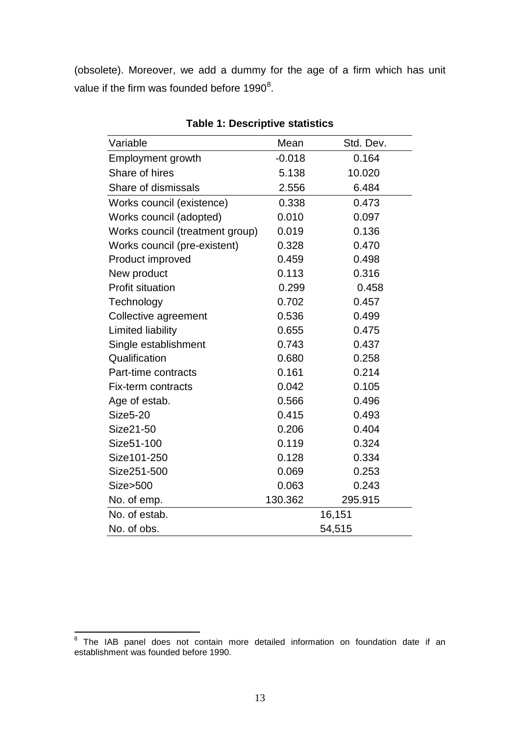(obsolete). Moreover, we add a dummy for the age of a firm which has unit value if the firm was founded before 1990 $^8$  $^8$ .

| Variable                        | Mean     | Std. Dev. |  |
|---------------------------------|----------|-----------|--|
| Employment growth               | $-0.018$ | 0.164     |  |
| Share of hires                  | 5.138    | 10.020    |  |
| Share of dismissals             | 2.556    | 6.484     |  |
| Works council (existence)       | 0.338    | 0.473     |  |
| Works council (adopted)         | 0.010    | 0.097     |  |
| Works council (treatment group) | 0.019    | 0.136     |  |
| Works council (pre-existent)    | 0.328    | 0.470     |  |
| Product improved                | 0.459    | 0.498     |  |
| New product                     | 0.113    | 0.316     |  |
| <b>Profit situation</b>         | 0.299    | 0.458     |  |
| Technology                      | 0.702    | 0.457     |  |
| Collective agreement            | 0.536    | 0.499     |  |
| Limited liability               | 0.655    | 0.475     |  |
| Single establishment            | 0.743    | 0.437     |  |
| Qualification                   | 0.680    | 0.258     |  |
| Part-time contracts             | 0.161    | 0.214     |  |
| Fix-term contracts              | 0.042    | 0.105     |  |
| Age of estab.                   | 0.566    | 0.496     |  |
| <b>Size5-20</b>                 | 0.415    | 0.493     |  |
| Size21-50                       | 0.206    | 0.404     |  |
| Size51-100                      | 0.119    | 0.324     |  |
| Size101-250                     | 0.128    | 0.334     |  |
| Size251-500                     | 0.069    | 0.253     |  |
| Size>500                        | 0.063    | 0.243     |  |
| No. of emp.                     | 130.362  | 295.915   |  |
| No. of estab.                   |          | 16,151    |  |
| No. of obs.                     | 54,515   |           |  |

**Table 1: Descriptive statistics**

<span id="page-14-0"></span><sup>8</sup> The IAB panel does not contain more detailed information on foundation date if an establishment was founded before 1990.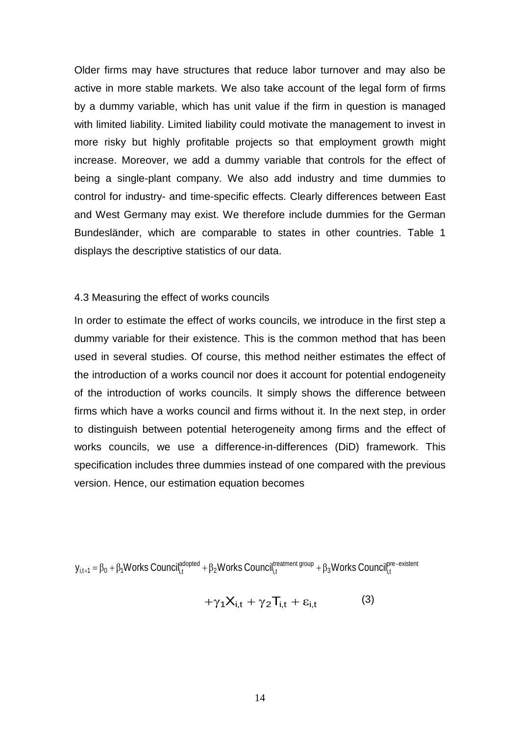Older firms may have structures that reduce labor turnover and may also be active in more stable markets. We also take account of the legal form of firms by a dummy variable, which has unit value if the firm in question is managed with limited liability. Limited liability could motivate the management to invest in more risky but highly profitable projects so that employment growth might increase. Moreover, we add a dummy variable that controls for the effect of being a single-plant company. We also add industry and time dummies to control for industry- and time-specific effects. Clearly differences between East and West Germany may exist. We therefore include dummies for the German Bundesländer, which are comparable to states in other countries. Table 1 displays the descriptive statistics of our data.

#### 4.3 Measuring the effect of works councils

In order to estimate the effect of works councils, we introduce in the first step a dummy variable for their existence. This is the common method that has been used in several studies. Of course, this method neither estimates the effect of the introduction of a works council nor does it account for potential endogeneity of the introduction of works councils. It simply shows the difference between firms which have a works council and firms without it. In the next step, in order to distinguish between potential heterogeneity among firms and the effect of works councils, we use a difference-in-differences (DiD) framework. This specification includes three dummies instead of one compared with the previous version. Hence, our estimation equation becomes

 ${\sf y}_{i,t+1}=\beta_0+\beta_1{\sf W}$ orks Council $_{i,t}^{\sf adopted}+\beta_2{\sf W}$ orks Council $_{i,t}^{\sf tree,ment}$ group  $+\beta_3{\sf W}$ orks Council $_{i,t}^{\sf pre-existent}$ 

$$
+\gamma_1 X_{i,t} + \gamma_2 T_{i,t} + \varepsilon_{i,t} \tag{3}
$$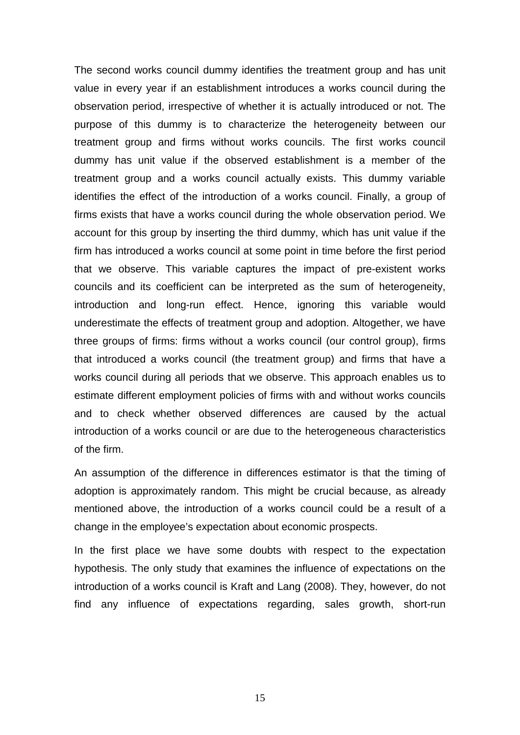The second works council dummy identifies the treatment group and has unit value in every year if an establishment introduces a works council during the observation period, irrespective of whether it is actually introduced or not. The purpose of this dummy is to characterize the heterogeneity between our treatment group and firms without works councils. The first works council dummy has unit value if the observed establishment is a member of the treatment group and a works council actually exists. This dummy variable identifies the effect of the introduction of a works council. Finally, a group of firms exists that have a works council during the whole observation period. We account for this group by inserting the third dummy, which has unit value if the firm has introduced a works council at some point in time before the first period that we observe. This variable captures the impact of pre-existent works councils and its coefficient can be interpreted as the sum of heterogeneity, introduction and long-run effect. Hence, ignoring this variable would underestimate the effects of treatment group and adoption. Altogether, we have three groups of firms: firms without a works council (our control group), firms that introduced a works council (the treatment group) and firms that have a works council during all periods that we observe. This approach enables us to estimate different employment policies of firms with and without works councils and to check whether observed differences are caused by the actual introduction of a works council or are due to the heterogeneous characteristics of the firm.

An assumption of the difference in differences estimator is that the timing of adoption is approximately random. This might be crucial because, as already mentioned above, the introduction of a works council could be a result of a change in the employee's expectation about economic prospects.

In the first place we have some doubts with respect to the expectation hypothesis. The only study that examines the influence of expectations on the introduction of a works council is Kraft and Lang (2008). They, however, do not find any influence of expectations regarding, sales growth, short-run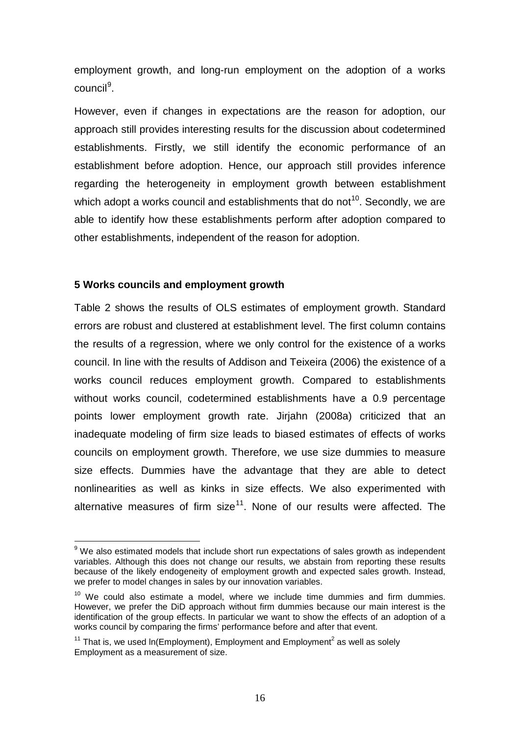employment growth, and long-run employment on the adoption of a works council<sup>[9](#page-14-0)</sup>.

However, even if changes in expectations are the reason for adoption, our approach still provides interesting results for the discussion about codetermined establishments. Firstly, we still identify the economic performance of an establishment before adoption. Hence, our approach still provides inference regarding the heterogeneity in employment growth between establishment which adopt a works council and establishments that do not<sup>[10](#page-17-0)</sup>. Secondly, we are able to identify how these establishments perform after adoption compared to other establishments, independent of the reason for adoption.

#### **5 Works councils and employment growth**

Table 2 shows the results of OLS estimates of employment growth. Standard errors are robust and clustered at establishment level. The first column contains the results of a regression, where we only control for the existence of a works council. In line with the results of Addison and Teixeira (2006) the existence of a works council reduces employment growth. Compared to establishments without works council, codetermined establishments have a 0.9 percentage points lower employment growth rate. Jirjahn (2008a) criticized that an inadequate modeling of firm size leads to biased estimates of effects of works councils on employment growth. Therefore, we use size dummies to measure size effects. Dummies have the advantage that they are able to detect nonlinearities as well as kinks in size effects. We also experimented with alternative measures of firm size<sup>[11](#page-17-1)</sup>. None of our results were affected. The

 $9$  We also estimated models that include short run expectations of sales growth as independent variables. Although this does not change our results, we abstain from reporting these results because of the likely endogeneity of employment growth and expected sales growth. Instead, we prefer to model changes in sales by our innovation variables.

<span id="page-17-0"></span> $10$  We could also estimate a model, where we include time dummies and firm dummies. However, we prefer the DiD approach without firm dummies because our main interest is the identification of the group effects. In particular we want to show the effects of an adoption of a works council by comparing the firms' performance before and after that event.

<span id="page-17-2"></span><span id="page-17-1"></span> $11$  That is, we used In(Employment), Employment and Employment<sup>2</sup> as well as solely Employment as a measurement of size.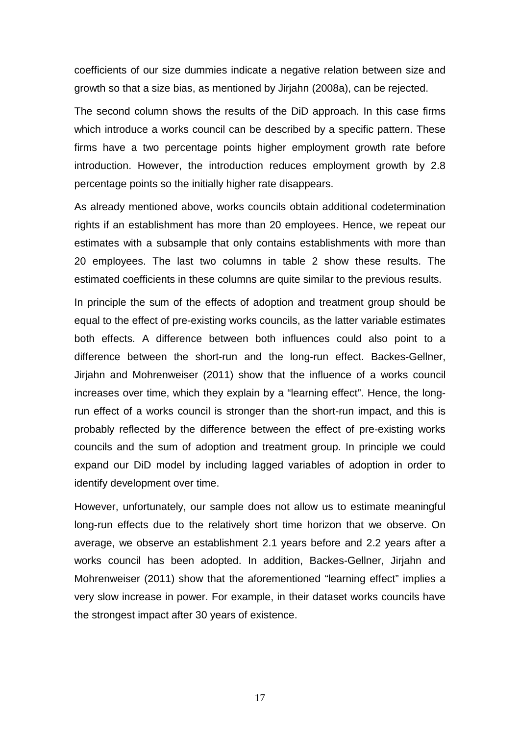coefficients of our size dummies indicate a negative relation between size and growth so that a size bias, as mentioned by Jirjahn (2008a), can be rejected.

The second column shows the results of the DiD approach. In this case firms which introduce a works council can be described by a specific pattern. These firms have a two percentage points higher employment growth rate before introduction. However, the introduction reduces employment growth by 2.8 percentage points so the initially higher rate disappears.

As already mentioned above, works councils obtain additional codetermination rights if an establishment has more than 20 employees. Hence, we repeat our estimates with a subsample that only contains establishments with more than 20 employees. The last two columns in table 2 show these results. The estimated coefficients in these columns are quite similar to the previous results.

In principle the sum of the effects of adoption and treatment group should be equal to the effect of pre-existing works councils, as the latter variable estimates both effects. A difference between both influences could also point to a difference between the short-run and the long-run effect. Backes-Gellner, Jirjahn and Mohrenweiser (2011) show that the influence of a works council increases over time, which they explain by a "learning effect". Hence, the longrun effect of a works council is stronger than the short-run impact, and this is probably reflected by the difference between the effect of pre-existing works councils and the sum of adoption and treatment group. In principle we could expand our DiD model by including lagged variables of adoption in order to identify development over time.

However, unfortunately, our sample does not allow us to estimate meaningful long-run effects due to the relatively short time horizon that we observe. On average, we observe an establishment 2.1 years before and 2.2 years after a works council has been adopted. In addition, Backes-Gellner, Jirjahn and Mohrenweiser (2011) show that the aforementioned "learning effect" implies a very slow increase in power. For example, in their dataset works councils have the strongest impact after 30 years of existence.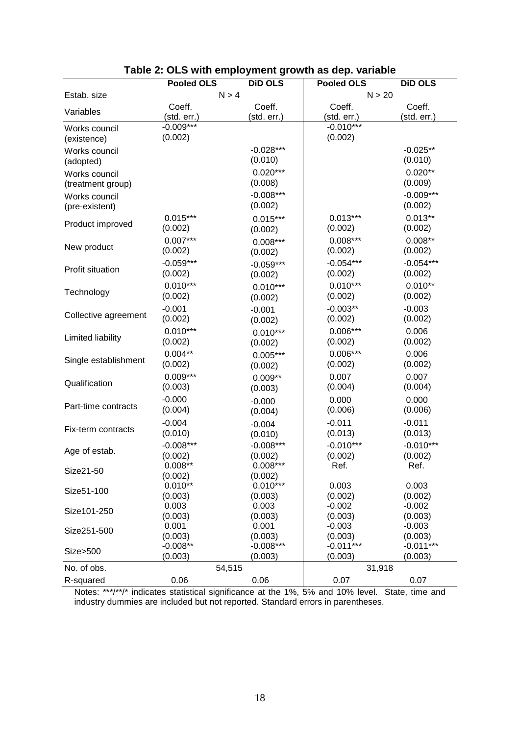|                      | <b>Pooled OLS</b> | <b>DiD OLS</b>   | <b>Pooled OLS</b>   | <b>DiD OLS</b>      |
|----------------------|-------------------|------------------|---------------------|---------------------|
| Estab. size          | N > 4             |                  | N > 20              |                     |
|                      | Coeff.            | Coeff.           | Coeff.              | Coeff.              |
| Variables            | (std. err.)       | (std. err.)      | (std. err.)         | (std. err.)         |
| Works council        | $-0.009***$       |                  | $-0.010***$         |                     |
| (existence)          | (0.002)           |                  | (0.002)             |                     |
| Works council        |                   | $-0.028***$      |                     | $-0.025**$          |
| (adopted)            |                   | (0.010)          |                     | (0.010)             |
| Works council        |                   | $0.020***$       |                     | $0.020**$           |
| (treatment group)    |                   | (0.008)          |                     | (0.009)             |
| Works council        |                   | $-0.008***$      |                     | $-0.009***$         |
| (pre-existent)       |                   | (0.002)          |                     | (0.002)             |
|                      | $0.015***$        | $0.015***$       | $0.013***$          | $0.013**$           |
| Product improved     | (0.002)           | (0.002)          | (0.002)             | (0.002)             |
|                      | $0.007***$        | $0.008***$       | $0.008***$          | $0.008**$           |
| New product          | (0.002)           | (0.002)          | (0.002)             | (0.002)             |
|                      | $-0.059***$       | $-0.059***$      | $-0.054***$         | $-0.054***$         |
| Profit situation     | (0.002)           | (0.002)          | (0.002)             | (0.002)             |
|                      | $0.010***$        | $0.010***$       | $0.010***$          | $0.010**$           |
| Technology           | (0.002)           | (0.002)          | (0.002)             | (0.002)             |
|                      | $-0.001$          | $-0.001$         | $-0.003**$          | $-0.003$            |
| Collective agreement | (0.002)           | (0.002)          | (0.002)             | (0.002)             |
|                      | $0.010***$        | $0.010***$       | $0.006***$          | 0.006               |
| Limited liability    | (0.002)           | (0.002)          | (0.002)             | (0.002)             |
|                      | $0.004**$         | $0.005***$       | $0.006***$          | 0.006               |
| Single establishment | (0.002)           | (0.002)          | (0.002)             | (0.002)             |
|                      | $0.009***$        | $0.009**$        | 0.007               | 0.007               |
| Qualification        | (0.003)           | (0.003)          | (0.004)             | (0.004)             |
|                      | $-0.000$          | $-0.000$         | 0.000               | 0.000               |
| Part-time contracts  | (0.004)           | (0.004)          | (0.006)             | (0.006)             |
|                      | $-0.004$          | $-0.004$         | $-0.011$            | $-0.011$            |
| Fix-term contracts   | (0.010)           | (0.010)          | (0.013)             | (0.013)             |
|                      | $-0.008***$       | $-0.008***$      | $-0.010***$         | $-0.010***$         |
| Age of estab.        | (0.002)           | (0.002)          | (0.002)             | (0.002)             |
| Size21-50            | $0.008**$         | $0.008***$       | Ref.                | Ref.                |
|                      | (0.002)           | (0.002)          |                     |                     |
| Size51-100           | $0.010**$         | $0.010***$       | 0.003               | 0.003               |
|                      | (0.003)           | (0.003)          | (0.002)             | (0.002)             |
| Size101-250          | 0.003<br>(0.003)  | 0.003<br>(0.003) | $-0.002$<br>(0.003) | $-0.002$<br>(0.003) |
|                      | 0.001             | 0.001            | $-0.003$            | $-0.003$            |
| Size251-500          | (0.003)           | (0.003)          | (0.003)             | (0.003)             |
|                      | $-0.008**$        | $-0.008***$      | $-0.011***$         | $-0.011***$         |
| Size>500             | (0.003)           | (0.003)          | (0.003)             | (0.003)             |
| No. of obs.          | 54,515            |                  | 31,918              |                     |
| R-squared            | 0.06              | 0.06             | 0.07                | 0.07                |

## **Table 2: OLS with employment growth as dep. variable**

Notes: \*\*\*/\*\*/\* indicates statistical significance at the 1%, 5% and 10% level. State, time and industry dummies are included but not reported. Standard errors in parentheses.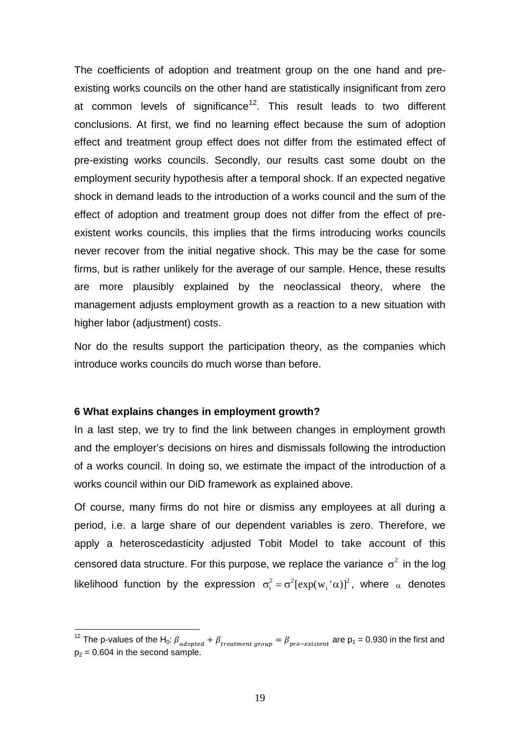The coefficients of adoption and treatment group on the one hand and preexisting works councils on the other hand are statistically insignificant from zero at common levels of significance<sup>[12](#page-17-2)</sup>. This result leads to two different conclusions. At first, we find no learning effect because the sum of adoption effect and treatment group effect does not differ from the estimated effect of pre-existing works councils. Secondly, our results cast some doubt on the employment security hypothesis after a temporal shock. If an expected negative shock in demand leads to the introduction of a works council and the sum of the effect of adoption and treatment group does not differ from the effect of preexistent works councils, this implies that the firms introducing works councils never recover from the initial negative shock. This may be the case for some firms, but is rather unlikely for the average of our sample. Hence, these results are more plausibly explained by the neoclassical theory, where the management adjusts employment growth as a reaction to a new situation with higher labor (adjustment) costs.

Nor do the results support the participation theory, as the companies which introduce works councils do much worse than before.

#### **6 What explains changes in employment growth?**

In a last step, we try to find the link between changes in employment growth and the employer's decisions on hires and dismissals following the introduction of a works council. In doing so, we estimate the impact of the introduction of a works council within our DiD framework as explained above.

Of course, many firms do not hire or dismiss any employees at all during a period, i.e. a large share of our dependent variables is zero. Therefore, we apply a heteroscedasticity adjusted Tobit Model to take account of this censored data structure. For this purpose, we replace the variance  $\sigma^2$  in the log likelihood function by the expression  $\sigma_i^2 = \sigma^2 [\exp(w_i \nabla \alpha)]^2$ , where  $\alpha$  denotes

<span id="page-20-0"></span><sup>&</sup>lt;sup>12</sup> The p-values of the H<sub>0</sub>:  $\beta_{adopted} + \beta_{treatment\ group} = \beta_{pre-existent}$  are  $p_1 = 0.930$  in the first and  $p_2$  = 0.604 in the second sample.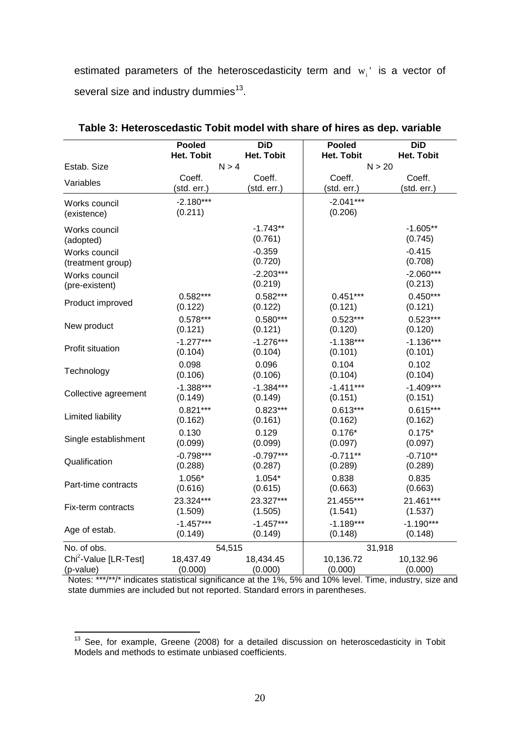estimated parameters of the heteroscedasticity term and  $w_i$ ' is a vector of several size and industry dummies<sup>13</sup>.

|                                   | <b>Pooled</b>     | <b>DiD</b>        | <b>Pooled</b>     | <b>DiD</b>        |
|-----------------------------------|-------------------|-------------------|-------------------|-------------------|
|                                   | <b>Het. Tobit</b> | <b>Het. Tobit</b> | <b>Het. Tobit</b> | <b>Het. Tobit</b> |
| Estab. Size                       | N > 4             |                   | N > 20            |                   |
| Variables                         | Coeff.            | Coeff.            | Coeff.            | Coeff.            |
|                                   | (std. err.)       | (std. err.)       | (std. err.)       | (std. err.)       |
| Works council                     | $-2.180***$       |                   | $-2.041***$       |                   |
| (existence)                       | (0.211)           |                   | (0.206)           |                   |
| Works council                     |                   | $-1.743**$        |                   | $-1.605**$        |
| (adopted)                         |                   | (0.761)           |                   | (0.745)           |
| Works council                     |                   | $-0.359$          |                   | $-0.415$          |
| (treatment group)                 |                   | (0.720)           |                   | (0.708)           |
| Works council                     |                   | $-2.203***$       |                   | $-2.060***$       |
| (pre-existent)                    |                   | (0.219)           |                   | (0.213)           |
| Product improved                  | $0.582***$        | $0.582***$        | $0.451***$        | $0.450***$        |
|                                   | (0.122)           | (0.122)           | (0.121)           | (0.121)           |
| New product                       | $0.578***$        | $0.580***$        | $0.523***$        | $0.523***$        |
|                                   | (0.121)           | (0.121)           | (0.120)           | (0.120)           |
| Profit situation                  | $-1.277***$       | $-1.276***$       | $-1.138***$       | $-1.136***$       |
|                                   | (0.104)           | (0.104)           | (0.101)           | (0.101)           |
| Technology                        | 0.098<br>(0.106)  | 0.096<br>(0.106)  | 0.104<br>(0.104)  | 0.102<br>(0.104)  |
|                                   | $-1.388***$       | $-1.384***$       | $-1.411***$       | $-1.409***$       |
| Collective agreement              | (0.149)           | (0.149)           | (0.151)           | (0.151)           |
|                                   | $0.821***$        | $0.823***$        | $0.613***$        | $0.615***$        |
| Limited liability                 | (0.162)           | (0.161)           | (0.162)           | (0.162)           |
|                                   | 0.130             | 0.129             | $0.176*$          | $0.175*$          |
| Single establishment              | (0.099)           | (0.099)           | (0.097)           | (0.097)           |
|                                   | $-0.798***$       | $-0.797***$       | $-0.711**$        | $-0.710**$        |
| Qualification                     | (0.288)           | (0.287)           | (0.289)           | (0.289)           |
|                                   | 1.056*            | $1.054*$          | 0.838             | 0.835             |
| Part-time contracts               | (0.616)           | (0.615)           | (0.663)           | (0.663)           |
| Fix-term contracts                | 23.324***         | 23.327***         | 21.455***         | 21.461***         |
|                                   | (1.509)           | (1.505)           | (1.541)           | (1.537)           |
| Age of estab.                     | $-1.457***$       | $-1.457***$       | $-1.189***$       | $-1.190***$       |
|                                   | (0.149)           | (0.149)           | (0.148)           | (0.148)           |
| No. of obs.                       |                   | 54,515            | 31,918            |                   |
| Chi <sup>2</sup> -Value [LR-Test] | 18,437.49         | 18,434.45         | 10,136.72         | 10,132.96         |
| (p-value)                         | (0.000)           | (0.000)           | (0.000)           | (0.000)           |

Notes: \*\*\*/\*\*/\* indicates statistical significance at the 1%, 5% and 10% level. Time, industry, size and state dummies are included but not reported. Standard errors in parentheses.

<span id="page-21-0"></span><sup>13</sup> See, for example, Greene (2008) for a detailed discussion on heteroscedasticity in Tobit Models and methods to estimate unbiased coefficients.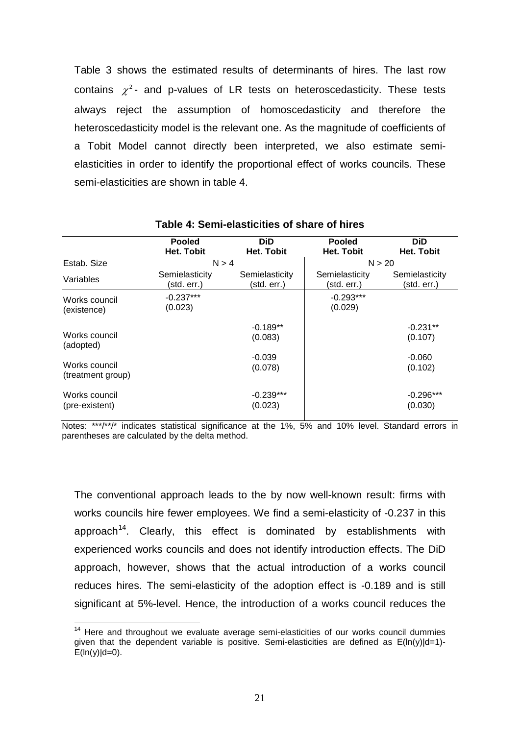Table 3 shows the estimated results of determinants of hires. The last row contains  $\chi^2$ - and p-values of LR tests on heteroscedasticity. These tests always reject the assumption of homoscedasticity and therefore the heteroscedasticity model is the relevant one. As the magnitude of coefficients of a Tobit Model cannot directly been interpreted, we also estimate semielasticities in order to identify the proportional effect of works councils. These semi-elasticities are shown in table 4.

|                                    | <b>Pooled</b><br>Het. Tobit   | <b>DiD</b><br>Het. Tobit      | <b>Pooled</b><br>Het. Tobit   | <b>DiD</b><br>Het. Tobit      |
|------------------------------------|-------------------------------|-------------------------------|-------------------------------|-------------------------------|
| Estab, Size                        |                               | N > 4                         |                               | N > 20                        |
| Variables                          | Semielasticity<br>(std. err.) | Semielasticity<br>(std. err.) | Semielasticity<br>(std. err.) | Semielasticity<br>(std. err.) |
| Works council<br>(existence)       | $-0.237***$<br>(0.023)        |                               | $-0.293***$<br>(0.029)        |                               |
| Works council<br>(adopted)         |                               | $-0.189**$<br>(0.083)         |                               | $-0.231**$<br>(0.107)         |
| Works council<br>(treatment group) |                               | $-0.039$<br>(0.078)           |                               | $-0.060$<br>(0.102)           |
| Works council<br>(pre-existent)    |                               | $-0.239***$<br>(0.023)        |                               | $-0.296***$<br>(0.030)        |

#### **Table 4: Semi-elasticities of share of hires**

Notes: \*\*\*/\*\*/\* indicates statistical significance at the 1%, 5% and 10% level. Standard errors in parentheses are calculated by the delta method.

The conventional approach leads to the by now well-known result: firms with works councils hire fewer employees. We find a semi-elasticity of -0.237 in this approach<sup>[14](#page-21-0)</sup>. Clearly, this effect is dominated by establishments with experienced works councils and does not identify introduction effects. The DiD approach, however, shows that the actual introduction of a works council reduces hires. The semi-elasticity of the adoption effect is -0.189 and is still significant at 5%-level. Hence, the introduction of a works council reduces the

<span id="page-22-0"></span> $14$  Here and throughout we evaluate average semi-elasticities of our works council dummies given that the dependent variable is positive. Semi-elasticities are defined as  $E(ln(y)|d=1)$ - $E(ln(y)|d=0)$ .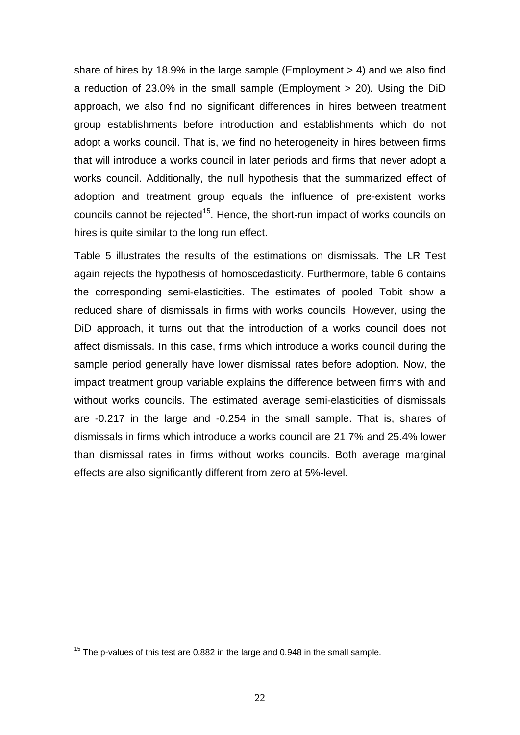share of hires by 18.9% in the large sample (Employment > 4) and we also find a reduction of 23.0% in the small sample (Employment > 20). Using the DiD approach, we also find no significant differences in hires between treatment group establishments before introduction and establishments which do not adopt a works council. That is, we find no heterogeneity in hires between firms that will introduce a works council in later periods and firms that never adopt a works council. Additionally, the null hypothesis that the summarized effect of adoption and treatment group equals the influence of pre-existent works councils cannot be rejected<sup>[15](#page-22-0)</sup>. Hence, the short-run impact of works councils on hires is quite similar to the long run effect.

Table 5 illustrates the results of the estimations on dismissals. The LR Test again rejects the hypothesis of homoscedasticity. Furthermore, table 6 contains the corresponding semi-elasticities. The estimates of pooled Tobit show a reduced share of dismissals in firms with works councils. However, using the DiD approach, it turns out that the introduction of a works council does not affect dismissals. In this case, firms which introduce a works council during the sample period generally have lower dismissal rates before adoption. Now, the impact treatment group variable explains the difference between firms with and without works councils. The estimated average semi-elasticities of dismissals are -0.217 in the large and -0.254 in the small sample. That is, shares of dismissals in firms which introduce a works council are 21.7% and 25.4% lower than dismissal rates in firms without works councils. Both average marginal effects are also significantly different from zero at 5%-level.

<span id="page-23-0"></span> $15$  The p-values of this test are 0.882 in the large and 0.948 in the small sample.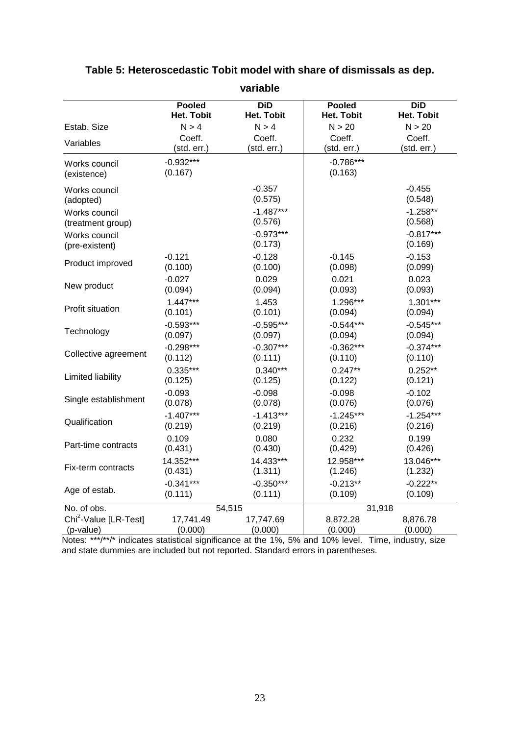|                                                | <b>Pooled</b>        | <b>DiD</b>           | <b>Pooled</b>       | <b>DiD</b>          |
|------------------------------------------------|----------------------|----------------------|---------------------|---------------------|
|                                                | <b>Het. Tobit</b>    | <b>Het. Tobit</b>    | <b>Het. Tobit</b>   | <b>Het. Tobit</b>   |
| Estab. Size                                    | N > 4                | N > 4                | N > 20              | N > 20              |
| Variables                                      | Coeff.               | Coeff.               | Coeff.              | Coeff.              |
|                                                | (std. err.)          | (std. err.)          | (std. err.)         | (std. err.)         |
| Works council                                  | $-0.932***$          |                      | $-0.786***$         |                     |
| (existence)                                    | (0.167)              |                      | (0.163)             |                     |
| Works council                                  |                      | $-0.357$             |                     | $-0.455$            |
| (adopted)                                      |                      | (0.575)              |                     | (0.548)             |
| Works council                                  |                      | $-1.487***$          |                     | $-1.258**$          |
| (treatment group)                              |                      | (0.576)              |                     | (0.568)             |
| Works council                                  |                      | $-0.973***$          |                     | $-0.817***$         |
| (pre-existent)                                 |                      | (0.173)              |                     | (0.169)             |
| Product improved                               | $-0.121$             | $-0.128$             | $-0.145$            | $-0.153$            |
|                                                | (0.100)              | (0.100)              | (0.098)             | (0.099)             |
| New product                                    | $-0.027$<br>(0.094)  | 0.029<br>(0.094)     | 0.021<br>(0.093)    | 0.023<br>(0.093)    |
|                                                | $1.447***$           | 1.453                | 1.296***            | $1.301***$          |
| Profit situation                               | (0.101)              | (0.101)              | (0.094)             | (0.094)             |
|                                                | $-0.593***$          | $-0.595***$          | $-0.544***$         | $-0.545***$         |
| Technology                                     | (0.097)              | (0.097)              | (0.094)             | (0.094)             |
|                                                | $-0.298***$          | $-0.307***$          | $-0.362***$         | $-0.374***$         |
| Collective agreement                           | (0.112)              | (0.111)              | (0.110)             | (0.110)             |
|                                                | $0.335***$           | $0.340***$           | $0.247**$           | $0.252**$           |
| Limited liability                              | (0.125)              | (0.125)              | (0.122)             | (0.121)             |
|                                                | $-0.093$             | $-0.098$             | $-0.098$            | $-0.102$            |
| Single establishment                           | (0.078)              | (0.078)              | (0.076)             | (0.076)             |
| Qualification                                  | $-1.407***$          | $-1.413***$          | $-1.245***$         | $-1.254***$         |
|                                                | (0.219)              | (0.219)              | (0.216)             | (0.216)             |
| Part-time contracts                            | 0.109                | 0.080                | 0.232               | 0.199               |
|                                                | (0.431)              | (0.430)              | (0.429)             | (0.426)             |
| Fix-term contracts                             | 14.352***            | 14.433***            | 12.958***           | 13.046***           |
|                                                | (0.431)              | (1.311)              | (1.246)             | (1.232)             |
| Age of estab.                                  | $-0.341***$          | $-0.350***$          | $-0.213**$          | $-0.222**$          |
|                                                | (0.111)              | (0.111)              | (0.109)             | (0.109)             |
| No. of obs.                                    |                      | 54,515               | 31,918              |                     |
| Chi <sup>2</sup> -Value [LR-Test]<br>(p-value) | 17,741.49<br>(0.000) | 17,747.69<br>(0.000) | 8,872.28<br>(0.000) | 8,876.78<br>(0.000) |

## **Table 5: Heteroscedastic Tobit model with share of dismissals as dep.**

**variable**

Notes: \*\*\*/\*\*/\* indicates statistical significance at the 1%, 5% and 10% level. Time, industry, size and state dummies are included but not reported. Standard errors in parentheses.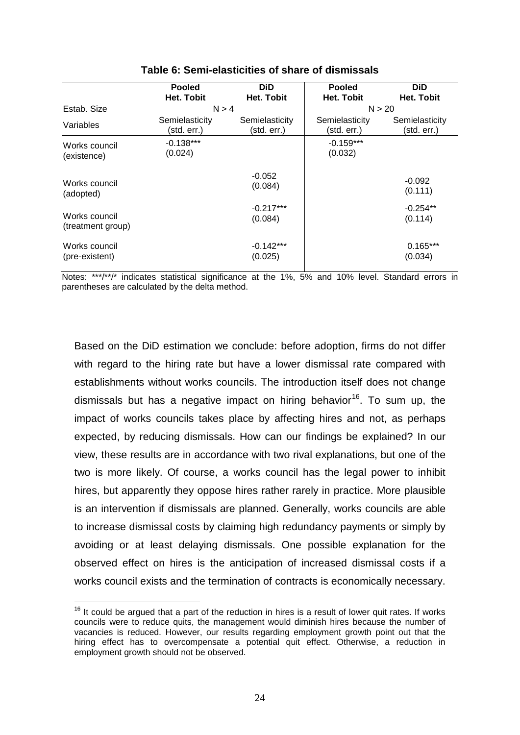|                                    | <b>Pooled</b>                 | <b>DiD</b>                    | <b>Pooled</b>                 | <b>DiD</b>                    |  |
|------------------------------------|-------------------------------|-------------------------------|-------------------------------|-------------------------------|--|
|                                    | Het. Tobit                    | Het. Tobit                    | Het. Tobit                    | Het. Tobit                    |  |
| Estab, Size                        |                               | N > 4                         |                               | N > 20                        |  |
| Variables                          | Semielasticity<br>(std. err.) | Semielasticity<br>(std. err.) | Semielasticity<br>(std. err.) | Semielasticity<br>(std. err.) |  |
| Works council<br>(existence)       | $-0.138***$<br>(0.024)        |                               | $-0.159***$<br>(0.032)        |                               |  |
| Works council<br>(adopted)         |                               | $-0.052$<br>(0.084)           |                               | $-0.092$<br>(0.111)           |  |
| Works council<br>(treatment group) |                               | $-0.217***$<br>(0.084)        |                               | $-0.254**$<br>(0.114)         |  |
| Works council<br>(pre-existent)    |                               | $-0.142***$<br>(0.025)        |                               | $0.165***$<br>(0.034)         |  |

#### **Table 6: Semi-elasticities of share of dismissals**

Notes: \*\*\*/\*\*/\* indicates statistical significance at the 1%, 5% and 10% level. Standard errors in parentheses are calculated by the delta method.

Based on the DiD estimation we conclude: before adoption, firms do not differ with regard to the hiring rate but have a lower dismissal rate compared with establishments without works councils. The introduction itself does not change dismissals but has a negative impact on hiring behavior<sup>16</sup>. To sum up, the impact of works councils takes place by affecting hires and not, as perhaps expected, by reducing dismissals. How can our findings be explained? In our view, these results are in accordance with two rival explanations, but one of the two is more likely. Of course, a works council has the legal power to inhibit hires, but apparently they oppose hires rather rarely in practice. More plausible is an intervention if dismissals are planned. Generally, works councils are able to increase dismissal costs by claiming high redundancy payments or simply by avoiding or at least delaying dismissals. One possible explanation for the observed effect on hires is the anticipation of increased dismissal costs if a works council exists and the termination of contracts is economically necessary.

 $16$  It could be argued that a part of the reduction in hires is a result of lower quit rates. If works councils were to reduce quits, the management would diminish hires because the number of vacancies is reduced. However, our results regarding employment growth point out that the hiring effect has to overcompensate a potential quit effect. Otherwise, a reduction in employment growth should not be observed.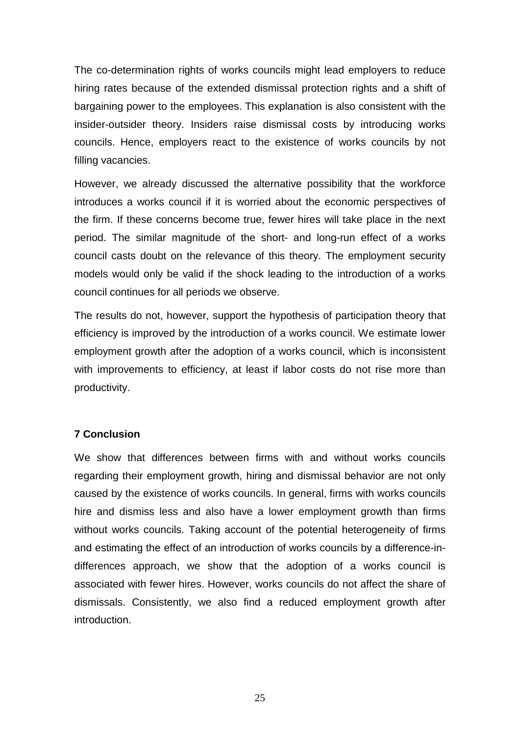The co-determination rights of works councils might lead employers to reduce hiring rates because of the extended dismissal protection rights and a shift of bargaining power to the employees. This explanation is also consistent with the insider-outsider theory. Insiders raise dismissal costs by introducing works councils. Hence, employers react to the existence of works councils by not filling vacancies.

However, we already discussed the alternative possibility that the workforce introduces a works council if it is worried about the economic perspectives of the firm. If these concerns become true, fewer hires will take place in the next period. The similar magnitude of the short- and long-run effect of a works council casts doubt on the relevance of this theory. The employment security models would only be valid if the shock leading to the introduction of a works council continues for all periods we observe.

The results do not, however, support the hypothesis of participation theory that efficiency is improved by the introduction of a works council. We estimate lower employment growth after the adoption of a works council, which is inconsistent with improvements to efficiency, at least if labor costs do not rise more than productivity.

### **7 Conclusion**

We show that differences between firms with and without works councils regarding their employment growth, hiring and dismissal behavior are not only caused by the existence of works councils. In general, firms with works councils hire and dismiss less and also have a lower employment growth than firms without works councils. Taking account of the potential heterogeneity of firms and estimating the effect of an introduction of works councils by a difference-indifferences approach, we show that the adoption of a works council is associated with fewer hires. However, works councils do not affect the share of dismissals. Consistently, we also find a reduced employment growth after introduction.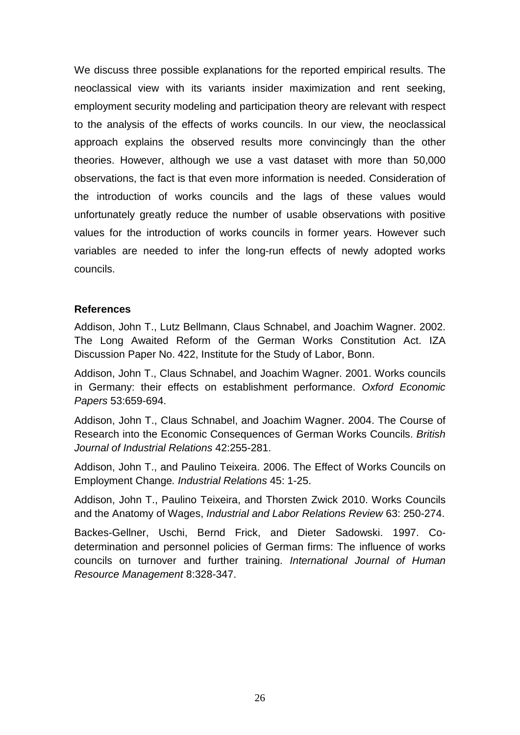We discuss three possible explanations for the reported empirical results. The neoclassical view with its variants insider maximization and rent seeking, employment security modeling and participation theory are relevant with respect to the analysis of the effects of works councils. In our view, the neoclassical approach explains the observed results more convincingly than the other theories. However, although we use a vast dataset with more than 50,000 observations, the fact is that even more information is needed. Consideration of the introduction of works councils and the lags of these values would unfortunately greatly reduce the number of usable observations with positive values for the introduction of works councils in former years. However such variables are needed to infer the long-run effects of newly adopted works councils.

#### **References**

Addison, John T., Lutz Bellmann, Claus Schnabel, and Joachim Wagner. 2002. The Long Awaited Reform of the German Works Constitution Act. IZA Discussion Paper No. 422, Institute for the Study of Labor, Bonn.

Addison, John T., Claus Schnabel, and Joachim Wagner. 2001. Works councils in Germany: their effects on establishment performance. *Oxford Economic Papers* 53:659-694.

Addison, John T., Claus Schnabel, and Joachim Wagner. 2004. The Course of Research into the Economic Consequences of German Works Councils. *British Journal of Industrial Relations* 42:255-281.

Addison, John T., and Paulino Teixeira. 2006. The Effect of Works Councils on Employment Change*. Industrial Relations* 45: 1-25.

Addison, John T., Paulino Teixeira, and Thorsten Zwick 2010. Works Councils and the Anatomy of Wages, *Industrial and Labor Relations Review* 63: 250-274.

Backes-Gellner, Uschi, Bernd Frick, and Dieter Sadowski. 1997. Codetermination and personnel policies of German firms: The influence of works councils on turnover and further training. *International Journal of Human Resource Management* 8:328-347.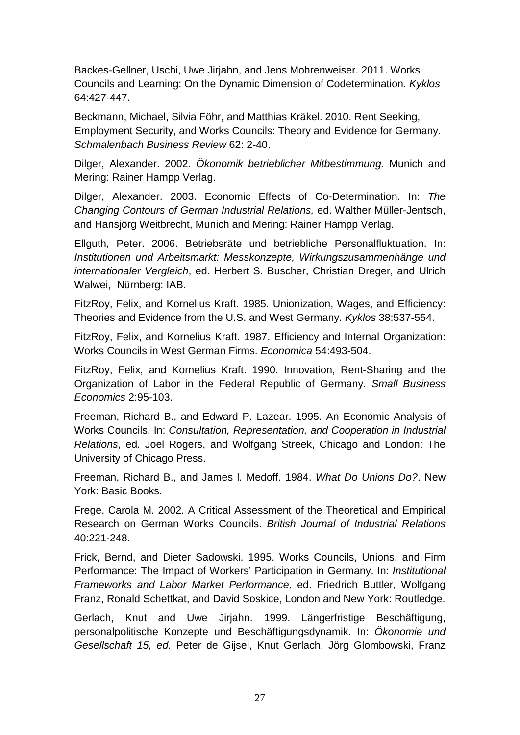Backes-Gellner, Uschi, Uwe Jirjahn, and Jens Mohrenweiser. 2011. Works Councils and Learning: On the Dynamic Dimension of Codetermination. *Kyklos*  64:427-447.

Beckmann, Michael, Silvia Föhr, and Matthias Kräkel. 2010. Rent Seeking, Employment Security, and Works Councils: Theory and Evidence for Germany. *Schmalenbach Business Review* 62: 2-40.

Dilger, Alexander. 2002. *Ökonomik betrieblicher Mitbestimmung*. Munich and Mering: Rainer Hampp Verlag.

Dilger, Alexander. 2003. Economic Effects of Co-Determination. In: *The Changing Contours of German Industrial Relations,* ed. Walther Müller-Jentsch, and Hansjörg Weitbrecht, Munich and Mering: Rainer Hampp Verlag.

Ellguth, Peter. 2006. Betriebsräte und betriebliche Personalfluktuation. In: *Institutionen und Arbeitsmarkt: Messkonzepte, Wirkungszusammenhänge und internationaler Vergleich*, ed. Herbert S. Buscher, Christian Dreger, and Ulrich Walwei, Nürnberg: IAB.

FitzRoy, Felix, and Kornelius Kraft. 1985. Unionization, Wages, and Efficiency: Theories and Evidence from the U.S. and West Germany. *Kyklos* 38:537-554.

FitzRoy, Felix, and Kornelius Kraft. 1987. Efficiency and Internal Organization: Works Councils in West German Firms. *Economica* 54:493-504.

FitzRoy, Felix, and Kornelius Kraft. 1990. Innovation, Rent-Sharing and the Organization of Labor in the Federal Republic of Germany. *Small Business Economics* 2:95-103.

Freeman, Richard B., and Edward P. Lazear. 1995. An Economic Analysis of Works Councils. In: *Consultation, Representation, and Cooperation in Industrial Relations*, ed. Joel Rogers, and Wolfgang Streek, Chicago and London: The University of Chicago Press.

Freeman, Richard B., and James l. Medoff. 1984. *What Do Unions Do?*. New York: Basic Books.

Frege, Carola M. 2002. A Critical Assessment of the Theoretical and Empirical Research on German Works Councils. *British Journal of Industrial Relations* 40:221-248.

Frick, Bernd, and Dieter Sadowski. 1995. Works Councils, Unions, and Firm Performance: The Impact of Workers' Participation in Germany. In: *Institutional Frameworks and Labor Market Performance,* ed. Friedrich Buttler, Wolfgang Franz, Ronald Schettkat, and David Soskice, London and New York: Routledge.

Gerlach, Knut and Uwe Jirjahn. 1999. Längerfristige Beschäftigung, personalpolitische Konzepte und Beschäftigungsdynamik. In: *Ökonomie und Gesellschaft 15, ed.* Peter de Gijsel, Knut Gerlach, Jörg Glombowski, Franz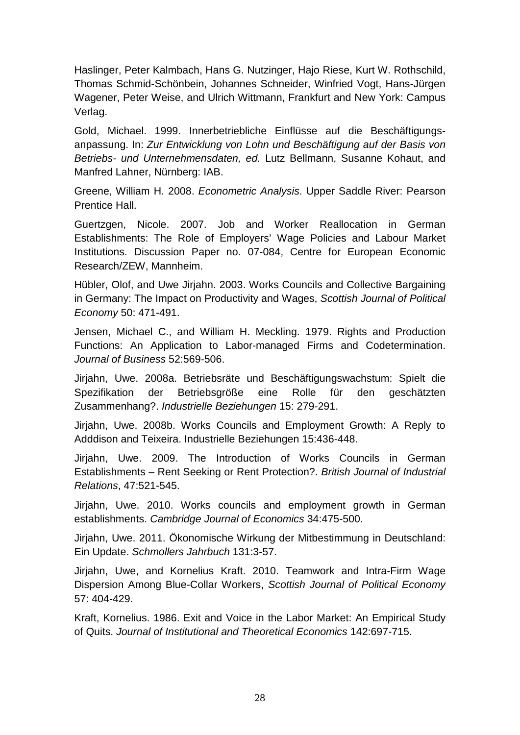Haslinger, Peter Kalmbach, Hans G. Nutzinger, Hajo Riese, Kurt W. Rothschild, Thomas Schmid-Schönbein, Johannes Schneider, Winfried Vogt, Hans-Jürgen Wagener, Peter Weise, and Ulrich Wittmann, Frankfurt and New York: Campus Verlag.

Gold, Michael. 1999. Innerbetriebliche Einflüsse auf die Beschäftigungsanpassung. In: *Zur Entwicklung von Lohn und Beschäftigung auf der Basis von Betriebs- und Unternehmensdaten, ed.* Lutz Bellmann, Susanne Kohaut, and Manfred Lahner, Nürnberg: IAB.

Greene, William H. 2008. *Econometric Analysis*. Upper Saddle River: Pearson Prentice Hall.

Guertzgen, Nicole. 2007. Job and Worker Reallocation in German Establishments: The Role of Employers' Wage Policies and Labour Market Institutions. Discussion Paper no. 07-084, Centre for European Economic Research/ZEW, Mannheim.

Hübler, Olof, and Uwe Jirjahn. 2003. Works Councils and Collective Bargaining in Germany: The Impact on Productivity and Wages, *Scottish Journal of Political Economy* 50: 471-491.

Jensen, Michael C., and William H. Meckling. 1979. Rights and Production Functions: An Application to Labor-managed Firms and Codetermination. *Journal of Business* 52:569-506.

Jirjahn, Uwe. 2008a. Betriebsräte und Beschäftigungswachstum: Spielt die Spezifikation der Betriebsgröße eine Rolle für den geschätzten Zusammenhang?. *Industrielle Beziehungen* 15: 279-291.

Jirjahn, Uwe. 2008b. Works Councils and Employment Growth: A Reply to Adddison and Teixeira. Industrielle Beziehungen 15:436-448.

Jirjahn, Uwe. 2009. The Introduction of Works Councils in German Establishments – Rent Seeking or Rent Protection?. *British Journal of Industrial Relations*, 47:521-545.

Jirjahn, Uwe. 2010. Works councils and employment growth in German establishments. *Cambridge Journal of Economics* 34:475-500.

Jirjahn, Uwe. 2011. Ökonomische Wirkung der Mitbestimmung in Deutschland: Ein Update. *Schmollers Jahrbuch* 131:3-57.

Jirjahn, Uwe, and Kornelius Kraft. 2010. Teamwork and Intra-Firm Wage Dispersion Among Blue-Collar Workers, *Scottish Journal of Political Economy*  57: 404-429.

Kraft, Kornelius. 1986. Exit and Voice in the Labor Market: An Empirical Study of Quits. *Journal of Institutional and Theoretical Economics* 142:697-715.